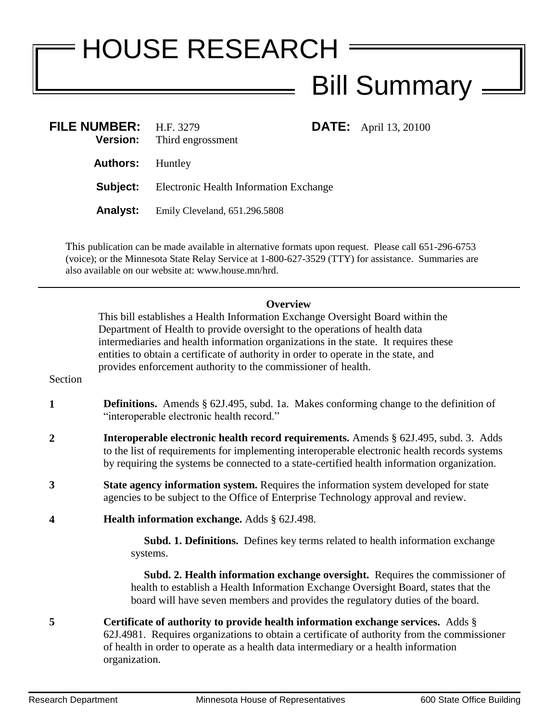## HOUSE RESEARCH Bill Summary

| FILE NUMBER: H.F. 3279  | <b>Version:</b> Third engrossment             | <b>DATE:</b> April 13, 20100 |
|-------------------------|-----------------------------------------------|------------------------------|
| <b>Authors:</b> Huntley |                                               |                              |
| Subject:                | <b>Electronic Health Information Exchange</b> |                              |
| <b>Analyst:</b>         | Emily Cleveland, 651.296.5808                 |                              |

This publication can be made available in alternative formats upon request. Please call 651-296-6753 (voice); or the Minnesota State Relay Service at 1-800-627-3529 (TTY) for assistance. Summaries are also available on our website at: www.house.mn/hrd.

## **Overview**

This bill establishes a Health Information Exchange Oversight Board within the Department of Health to provide oversight to the operations of health data intermediaries and health information organizations in the state. It requires these entities to obtain a certificate of authority in order to operate in the state, and provides enforcement authority to the commissioner of health.

## Section

- **1 Definitions.** Amends § 62J.495, subd. 1a. Makes conforming change to the definition of "interoperable electronic health record."
- **2 Interoperable electronic health record requirements.** Amends § 62J.495, subd. 3. Adds to the list of requirements for implementing interoperable electronic health records systems by requiring the systems be connected to a state-certified health information organization.
- **3 State agency information system.** Requires the information system developed for state agencies to be subject to the Office of Enterprise Technology approval and review.
- **4 Health information exchange.** Adds § 62J.498.

 **Subd. 1. Definitions.** Defines key terms related to health information exchange systems.

 **Subd. 2. Health information exchange oversight.** Requires the commissioner of health to establish a Health Information Exchange Oversight Board, states that the board will have seven members and provides the regulatory duties of the board.

**5 Certificate of authority to provide health information exchange services.** Adds § 62J.4981. Requires organizations to obtain a certificate of authority from the commissioner of health in order to operate as a health data intermediary or a health information organization.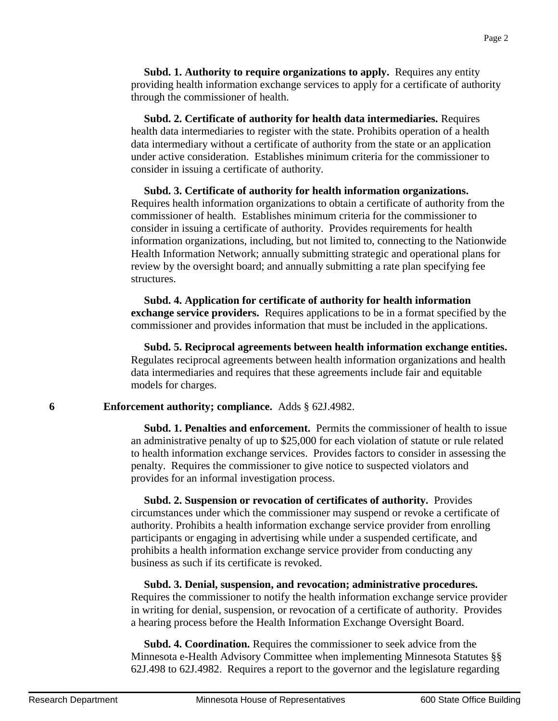**Subd. 1. Authority to require organizations to apply.** Requires any entity providing health information exchange services to apply for a certificate of authority through the commissioner of health.

 **Subd. 2. Certificate of authority for health data intermediaries.** Requires health data intermediaries to register with the state. Prohibits operation of a health data intermediary without a certificate of authority from the state or an application under active consideration. Establishes minimum criteria for the commissioner to consider in issuing a certificate of authority.

 **Subd. 3. Certificate of authority for health information organizations.** Requires health information organizations to obtain a certificate of authority from the commissioner of health. Establishes minimum criteria for the commissioner to consider in issuing a certificate of authority. Provides requirements for health information organizations, including, but not limited to, connecting to the Nationwide Health Information Network; annually submitting strategic and operational plans for review by the oversight board; and annually submitting a rate plan specifying fee structures.

 **Subd. 4. Application for certificate of authority for health information exchange service providers.** Requires applications to be in a format specified by the commissioner and provides information that must be included in the applications.

 **Subd. 5. Reciprocal agreements between health information exchange entities.**  Regulates reciprocal agreements between health information organizations and health data intermediaries and requires that these agreements include fair and equitable models for charges.

**6 Enforcement authority; compliance.** Adds § 62J.4982.

**Subd. 1. Penalties and enforcement.** Permits the commissioner of health to issue an administrative penalty of up to \$25,000 for each violation of statute or rule related to health information exchange services. Provides factors to consider in assessing the penalty. Requires the commissioner to give notice to suspected violators and provides for an informal investigation process.

 **Subd. 2. Suspension or revocation of certificates of authority.** Provides circumstances under which the commissioner may suspend or revoke a certificate of authority. Prohibits a health information exchange service provider from enrolling participants or engaging in advertising while under a suspended certificate, and prohibits a health information exchange service provider from conducting any business as such if its certificate is revoked.

 **Subd. 3. Denial, suspension, and revocation; administrative procedures.** Requires the commissioner to notify the health information exchange service provider in writing for denial, suspension, or revocation of a certificate of authority. Provides a hearing process before the Health Information Exchange Oversight Board.

 **Subd. 4. Coordination.** Requires the commissioner to seek advice from the Minnesota e-Health Advisory Committee when implementing Minnesota Statutes §§ 62J.498 to 62J.4982. Requires a report to the governor and the legislature regarding